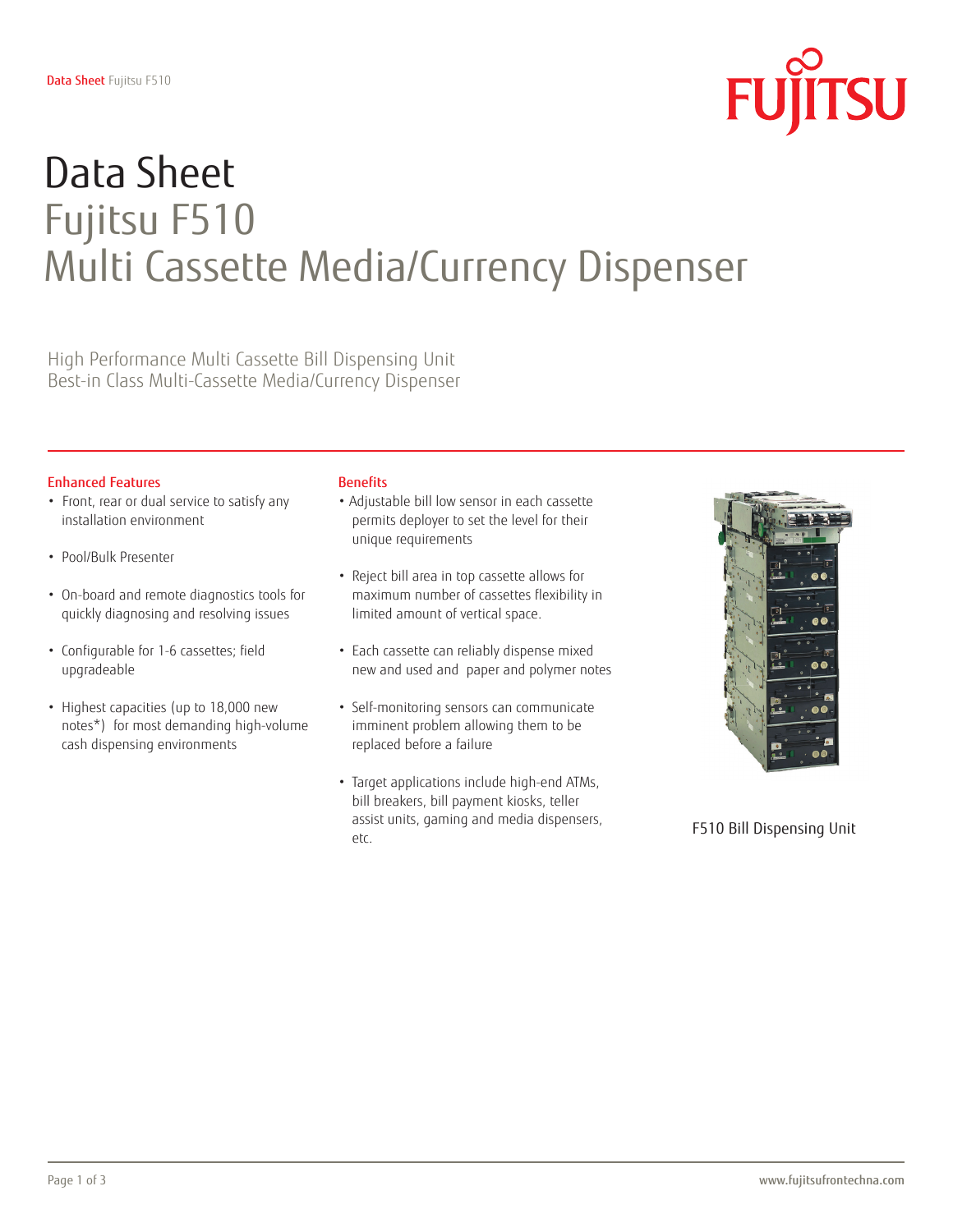

# Data Sheet Fujitsu F510 Multi Cassette Media/Currency Dispenser

High Performance Multi Cassette Bill Dispensing Unit Best-in Class Multi-Cassette Media/Currency Dispenser

### Enhanced Features

- Front, rear or dual service to satisfy any installation environment
- Pool/Bulk Presenter
- On-board and remote diagnostics tools for quickly diagnosing and resolving issues
- Configurable for 1-6 cassettes; field upgradeable
- Highest capacities (up to 18,000 new notes\*) for most demanding high-volume cash dispensing environments

#### **Benefits**

- Adjustable bill low sensor in each cassette permits deployer to set the level for their unique requirements
- Reject bill area in top cassette allows for maximum number of cassettes flexibility in limited amount of vertical space.
- Each cassette can reliably dispense mixed new and used and paper and polymer notes
- Self-monitoring sensors can communicate imminent problem allowing them to be replaced before a failure
- Target applications include high-end ATMs, bill breakers, bill payment kiosks, teller assist units, gaming and media dispensers, etc.



F510 Bill Dispensing Unit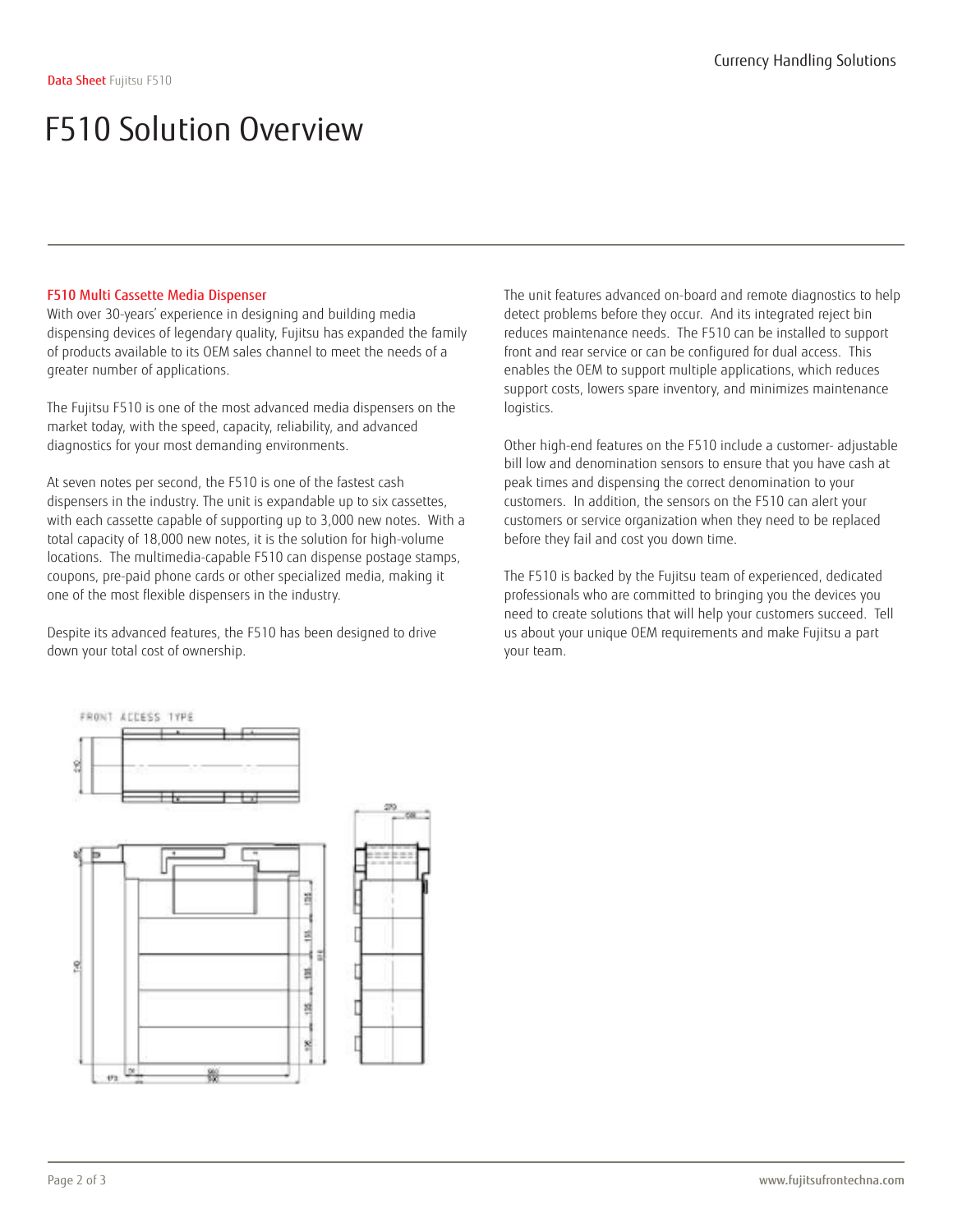### F510 Multi Cassette Media Dispenser

With over 30-years' experience in designing and building media dispensing devices of legendary quality, Fujitsu has expanded the family of products available to its OEM sales channel to meet the needs of a greater number of applications.

The Fujitsu F510 is one of the most advanced media dispensers on the market today, with the speed, capacity, reliability, and advanced diagnostics for your most demanding environments.

At seven notes per second, the F510 is one of the fastest cash dispensers in the industry. The unit is expandable up to six cassettes, with each cassette capable of supporting up to 3,000 new notes. With a total capacity of 18,000 new notes, it is the solution for high-volume locations. The multimedia-capable F510 can dispense postage stamps, coupons, pre-paid phone cards or other specialized media, making it one of the most flexible dispensers in the industry.

Despite its advanced features, the F510 has been designed to drive down your total cost of ownership.

The unit features advanced on-board and remote diagnostics to help detect problems before they occur. And its integrated reject bin reduces maintenance needs. The F510 can be installed to support front and rear service or can be configured for dual access. This enables the OEM to support multiple applications, which reduces support costs, lowers spare inventory, and minimizes maintenance logistics.

Other high-end features on the F510 include a customer- adjustable bill low and denomination sensors to ensure that you have cash at peak times and dispensing the correct denomination to your customers. In addition, the sensors on the F510 can alert your customers or service organization when they need to be replaced before they fail and cost you down time.

The F510 is backed by the Fujitsu team of experienced, dedicated professionals who are committed to bringing you the devices you need to create solutions that will help your customers succeed. Tell us about your unique OEM requirements and make Fujitsu a part your team.